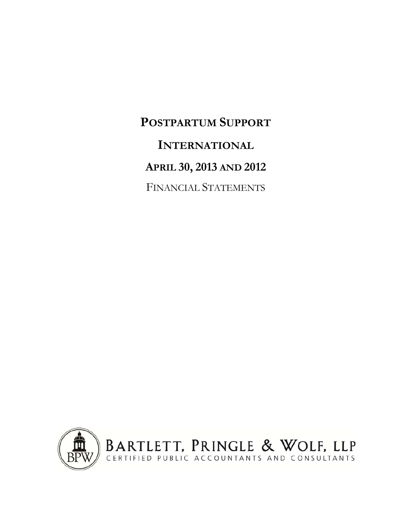**POSTPARTUM SUPPORT INTERNATIONAL APRIL 30, 2013 AND 2012** FINANCIAL STATEMENTS

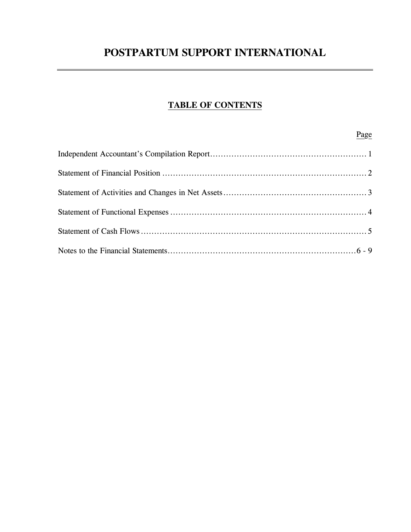# **TABLE OF CONTENTS**

Page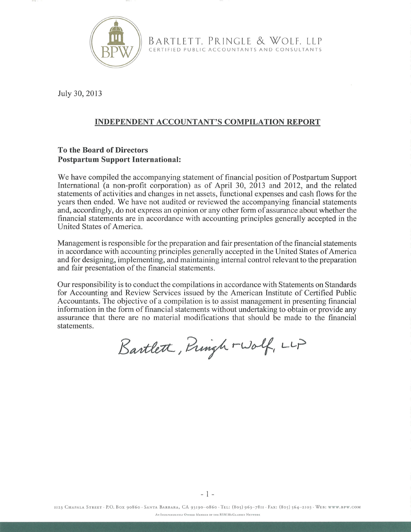

BARTLETT, PRINGLE & WOLF, LLP CERTIFIED PUBLIC ACCOUNTANTS AND CONSULTANTS

July 30, 2013

# **INDEPENDENT ACCOUNTANT'S COMPILATION REPORT**

### **To the Board of Directors Postpartum Support International:**

We have compiled the accompanying statement of financial position of Postpartum Support International (a non-profit corporation) as of April 30, 2013 and 2012, and the related statements of activities and changes in net assets, functional expenses and cash flows for the years then ended. We have not audited or reviewed the accompanying financial statements and, accordingly, do not express an opinion or any other form of assurance about whether the financial statements are in accordance with accounting principles generally accepted in the United States of America.

Management is responsible for the preparation and fair presentation of the financial statements in accordance with accounting principles generally accepted in the United States of America and for designing, implementing, and maintaining internal control relevant to the preparation and fair presentation of the financial statements.

Our responsibility is to conduct the compilations in accordance with Statements on Standards for Accounting and Review Services issued by the American Institute of Certified Public Accountants. The objective of a compilation is to assist management in presenting financial information in the form of financial statements without undertaking to obtain or provide any assurance that there are no material modifications that should be made to the financial statements.

Bartlett, Pringh - Wolf, LLP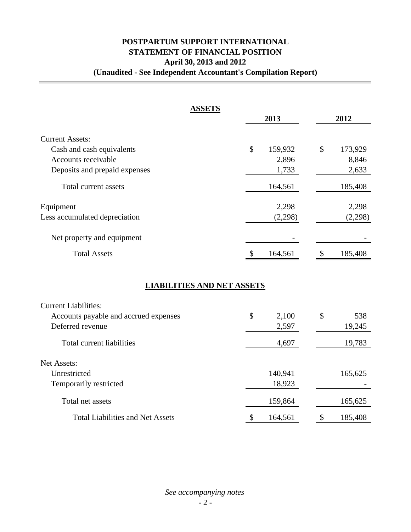# **POSTPARTUM SUPPORT INTERNATIONAL STATEMENT OF FINANCIAL POSITION April 30, 2013 and 2012 (Unaudited - See Independent Accountant's Compilation Report)**

| <b>ASSETS</b>                           |               |         |    |         |  |
|-----------------------------------------|---------------|---------|----|---------|--|
|                                         |               | 2013    |    | 2012    |  |
| <b>Current Assets:</b>                  |               |         |    |         |  |
| Cash and cash equivalents               | \$            | 159,932 | \$ | 173,929 |  |
| Accounts receivable                     |               | 2,896   |    | 8,846   |  |
| Deposits and prepaid expenses           |               | 1,733   |    | 2,633   |  |
| Total current assets                    |               | 164,561 |    | 185,408 |  |
| Equipment                               |               | 2,298   |    | 2,298   |  |
| Less accumulated depreciation           |               | (2,298) |    | (2,298) |  |
| Net property and equipment              |               |         |    |         |  |
| <b>Total Assets</b>                     | \$            | 164,561 | \$ | 185,408 |  |
| <b>LIABILITIES AND NET ASSETS</b>       |               |         |    |         |  |
| <b>Current Liabilities:</b>             |               |         |    |         |  |
| Accounts payable and accrued expenses   | $\mathcal{S}$ | 2,100   | \$ | 538     |  |
| Deferred revenue                        |               | 2,597   |    | 19,245  |  |
| <b>Total current liabilities</b>        |               | 4,697   |    | 19,783  |  |
| Net Assets:                             |               |         |    |         |  |
| Unrestricted                            |               | 140,941 |    | 165,625 |  |
| Temporarily restricted                  |               | 18,923  |    |         |  |
| Total net assets                        |               | 159,864 |    | 165,625 |  |
| <b>Total Liabilities and Net Assets</b> | \$            | 164,561 | \$ | 185,408 |  |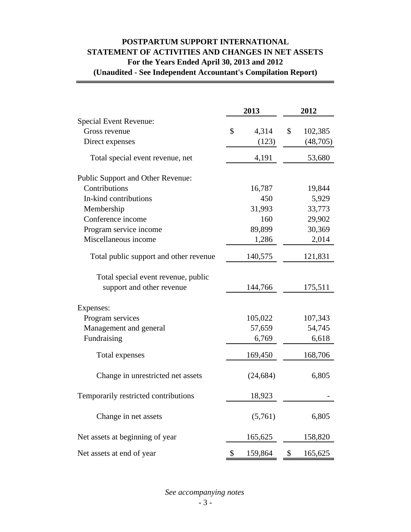# **POSTPARTUM SUPPORT INTERNATIONAL STATEMENT OF ACTIVITIES AND CHANGES IN NET ASSETS For the Years Ended April 30, 2013 and 2012 (Unaudited - See Independent Accountant's Compilation Report)**

|                                          | 2013 |           | 2012   |          |
|------------------------------------------|------|-----------|--------|----------|
| Special Event Revenue:                   |      |           |        |          |
| Gross revenue                            | \$   | 4,314     | \$     | 102,385  |
| Direct expenses                          |      | (123)     |        | (48,705) |
| Total special event revenue, net         |      | 4,191     |        | 53,680   |
| <b>Public Support and Other Revenue:</b> |      |           |        |          |
| Contributions                            |      | 16,787    |        | 19,844   |
| In-kind contributions                    |      | 450       |        | 5,929    |
| Membership                               |      | 31,993    |        | 33,773   |
| Conference income                        |      | 160       |        | 29,902   |
| Program service income                   |      | 89,899    |        | 30,369   |
| Miscellaneous income                     |      | 1,286     | 2,014  |          |
| Total public support and other revenue   |      | 140,575   |        | 121,831  |
| Total special event revenue, public      |      |           |        |          |
| support and other revenue                |      | 144,766   |        | 175,511  |
| Expenses:                                |      |           |        |          |
| Program services                         |      | 105,022   |        | 107,343  |
| Management and general                   |      | 57,659    | 54,745 |          |
| Fundraising                              |      | 6,769     |        | 6,618    |
| Total expenses                           |      | 169,450   |        | 168,706  |
| Change in unrestricted net assets        |      | (24, 684) |        | 6,805    |
| Temporarily restricted contributions     |      | 18,923    |        |          |
| Change in net assets                     |      | (5,761)   |        | 6,805    |
| Net assets at beginning of year          |      | 165,625   |        | 158,820  |
| Net assets at end of year                | \$   | 159,864   | \$     | 165,625  |

*See accompanying notes*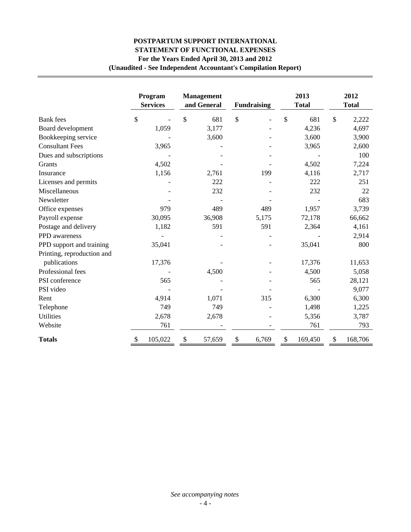# **POSTPARTUM SUPPORT INTERNATIONAL STATEMENT OF FUNCTIONAL EXPENSES For the Years Ended April 30, 2013 and 2012 (Unaudited - See Independent Accountant's Compilation Report)**

|                            | Program<br><b>Services</b> | <b>Management</b><br>and General | <b>Fundraising</b> | 2013<br><b>Total</b> | 2012<br><b>Total</b> |
|----------------------------|----------------------------|----------------------------------|--------------------|----------------------|----------------------|
| <b>Bank</b> fees           | \$                         | $\mathbb{S}$<br>681              | \$                 | \$<br>681            | \$<br>2,222          |
| Board development          | 1,059                      | 3,177                            |                    | 4,236                | 4,697                |
| Bookkeeping service        |                            | 3,600                            |                    | 3,600                | 3,900                |
| <b>Consultant Fees</b>     | 3,965                      |                                  |                    | 3,965                | 2,600                |
| Dues and subscriptions     |                            |                                  |                    |                      | 100                  |
| Grants                     | 4,502                      |                                  |                    | 4,502                | 7,224                |
| Insurance                  | 1,156                      | 2,761                            | 199                | 4,116                | 2,717                |
| Licenses and permits       |                            | 222                              |                    | 222                  | 251                  |
| Miscellaneous              |                            | 232                              |                    | 232                  | 22                   |
| Newsletter                 |                            |                                  |                    |                      | 683                  |
| Office expenses            | 979                        | 489                              | 489                | 1,957                | 3,739                |
| Payroll expense            | 30,095                     | 36,908                           | 5,175              | 72,178               | 66,662               |
| Postage and delivery       | 1,182                      | 591                              | 591                | 2,364                | 4,161                |
| PPD awareness              |                            |                                  |                    |                      | 2,914                |
| PPD support and training   | 35,041                     |                                  |                    | 35,041               | 800                  |
| Printing, reproduction and |                            |                                  |                    |                      |                      |
| publications               | 17,376                     |                                  |                    | 17,376               | 11,653               |
| Professional fees          |                            | 4,500                            |                    | 4,500                | 5,058                |
| PSI conference             | 565                        |                                  |                    | 565                  | 28,121               |
| PSI video                  |                            |                                  |                    |                      | 9,077                |
| Rent                       | 4,914                      | 1,071                            | 315                | 6,300                | 6,300                |
| Telephone                  | 749                        | 749                              |                    | 1,498                | 1,225                |
| <b>Utilities</b>           | 2,678                      | 2,678                            |                    | 5,356                | 3,787                |
| Website                    | 761                        |                                  |                    | 761                  | 793                  |
| <b>Totals</b>              | \$<br>105,022              | \$<br>57,659                     | \$<br>6,769        | \$<br>169,450        | \$<br>168,706        |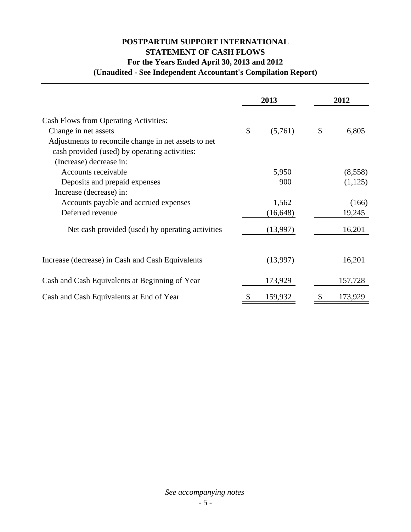# **POSTPARTUM SUPPORT INTERNATIONAL STATEMENT OF CASH FLOWS For the Years Ended April 30, 2013 and 2012 (Unaudited - See Independent Accountant's Compilation Report)**

|                                                                          | 2013 |           | 2012 |         |
|--------------------------------------------------------------------------|------|-----------|------|---------|
| <b>Cash Flows from Operating Activities:</b>                             |      |           |      |         |
| Change in net assets                                                     | \$   | (5,761)   | \$   | 6,805   |
| Adjustments to reconcile change in net assets to net                     |      |           |      |         |
| cash provided (used) by operating activities:<br>(Increase) decrease in: |      |           |      |         |
| Accounts receivable                                                      |      | 5,950     |      | (8,558) |
| Deposits and prepaid expenses                                            |      | 900       |      | (1,125) |
| Increase (decrease) in:                                                  |      |           |      |         |
| Accounts payable and accrued expenses                                    |      | 1,562     |      | (166)   |
| Deferred revenue                                                         |      | (16, 648) |      | 19,245  |
| Net cash provided (used) by operating activities                         |      | (13,997)  |      | 16,201  |
|                                                                          |      |           |      |         |
| Increase (decrease) in Cash and Cash Equivalents                         |      | (13,997)  |      | 16,201  |
| Cash and Cash Equivalents at Beginning of Year                           |      | 173,929   |      | 157,728 |
| Cash and Cash Equivalents at End of Year                                 |      | 159,932   |      | 173,929 |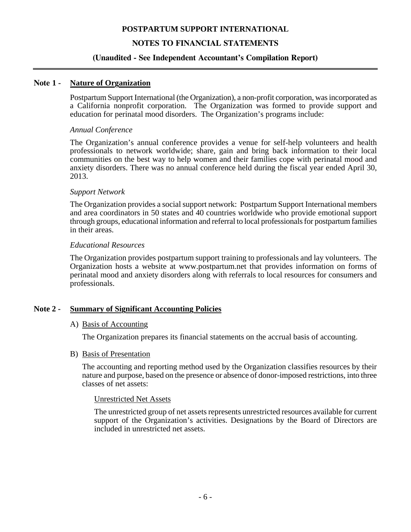# **NOTES TO FINANCIAL STATEMENTS**

#### **(Unaudited - See Independent Accountant's Compilation Report)**

#### **Note 1 - Nature of Organization**

Postpartum Support International (the Organization), a non-profit corporation, was incorporated as a California nonprofit corporation. The Organization was formed to provide support and education for perinatal mood disorders. The Organization's programs include:

#### *Annual Conference*

The Organization's annual conference provides a venue for self-help volunteers and health professionals to network worldwide; share, gain and bring back information to their local communities on the best way to help women and their families cope with perinatal mood and anxiety disorders. There was no annual conference held during the fiscal year ended April 30, 2013.

#### *Support Network*

The Organization provides a social support network: Postpartum Support International members and area coordinators in 50 states and 40 countries worldwide who provide emotional support through groups, educational information and referral to local professionals for postpartum families in their areas.

#### *Educational Resources*

The Organization provides postpartum support training to professionals and lay volunteers. The Organization hosts a website at www.postpartum.net that provides information on forms of perinatal mood and anxiety disorders along with referrals to local resources for consumers and professionals.

## **Note 2 - Summary of Significant Accounting Policies**

#### A) Basis of Accounting

The Organization prepares its financial statements on the accrual basis of accounting.

#### B) Basis of Presentation

The accounting and reporting method used by the Organization classifies resources by their nature and purpose, based on the presence or absence of donor-imposed restrictions, into three classes of net assets:

#### Unrestricted Net Assets

The unrestricted group of net assets represents unrestricted resources available for current support of the Organization's activities. Designations by the Board of Directors are included in unrestricted net assets.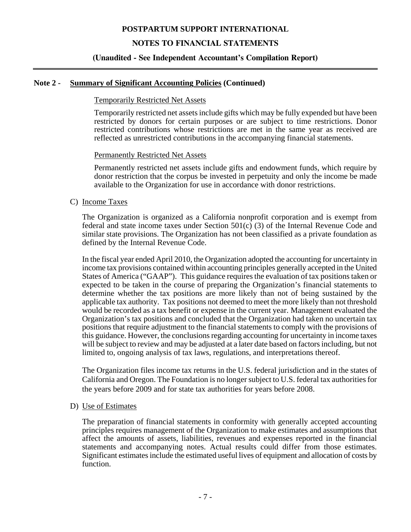# **NOTES TO FINANCIAL STATEMENTS**

## **(Unaudited - See Independent Accountant's Compilation Report)**

#### **Note 2 - Summary of Significant Accounting Policies (Continued)**

#### Temporarily Restricted Net Assets

Temporarily restricted net assets include gifts which may be fully expended but have been restricted by donors for certain purposes or are subject to time restrictions. Donor restricted contributions whose restrictions are met in the same year as received are reflected as unrestricted contributions in the accompanying financial statements.

#### Permanently Restricted Net Assets

Permanently restricted net assets include gifts and endowment funds, which require by donor restriction that the corpus be invested in perpetuity and only the income be made available to the Organization for use in accordance with donor restrictions.

#### C) Income Taxes

The Organization is organized as a California nonprofit corporation and is exempt from federal and state income taxes under Section 501(c) (3) of the Internal Revenue Code and similar state provisions. The Organization has not been classified as a private foundation as defined by the Internal Revenue Code.

In the fiscal year ended April 2010, the Organization adopted the accounting for uncertainty in income tax provisions contained within accounting principles generally accepted in the United States of America ("GAAP"). This guidance requires the evaluation of tax positions taken or expected to be taken in the course of preparing the Organization's financial statements to determine whether the tax positions are more likely than not of being sustained by the applicable tax authority. Tax positions not deemed to meet the more likely than not threshold would be recorded as a tax benefit or expense in the current year. Management evaluated the Organization's tax positions and concluded that the Organization had taken no uncertain tax positions that require adjustment to the financial statements to comply with the provisions of this guidance. However, the conclusions regarding accounting for uncertainty in income taxes will be subject to review and may be adjusted at a later date based on factors including, but not limited to, ongoing analysis of tax laws, regulations, and interpretations thereof.

The Organization files income tax returns in the U.S. federal jurisdiction and in the states of California and Oregon. The Foundation is no longer subject to U.S. federal tax authorities for the years before 2009 and for state tax authorities for years before 2008.

#### D) Use of Estimates

 The preparation of financial statements in conformity with generally accepted accounting principles requires management of the Organization to make estimates and assumptions that affect the amounts of assets, liabilities, revenues and expenses reported in the financial statements and accompanying notes. Actual results could differ from those estimates. Significant estimates include the estimated useful lives of equipment and allocation of costs by function.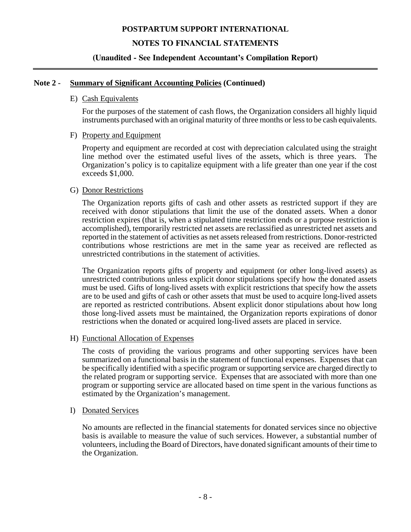# **NOTES TO FINANCIAL STATEMENTS**

## **(Unaudited - See Independent Accountant's Compilation Report)**

#### **Note 2 - Summary of Significant Accounting Policies (Continued)**

#### E) Cash Equivalents

For the purposes of the statement of cash flows, the Organization considers all highly liquid instruments purchased with an original maturity of three months or less to be cash equivalents.

#### F) Property and Equipment

Property and equipment are recorded at cost with depreciation calculated using the straight line method over the estimated useful lives of the assets, which is three years. The Organization's policy is to capitalize equipment with a life greater than one year if the cost exceeds \$1,000.

#### G) Donor Restrictions

The Organization reports gifts of cash and other assets as restricted support if they are received with donor stipulations that limit the use of the donated assets. When a donor restriction expires (that is, when a stipulated time restriction ends or a purpose restriction is accomplished), temporarily restricted net assets are reclassified as unrestricted net assets and reported in the statement of activities as net assets released from restrictions. Donor-restricted contributions whose restrictions are met in the same year as received are reflected as unrestricted contributions in the statement of activities.

The Organization reports gifts of property and equipment (or other long-lived assets) as unrestricted contributions unless explicit donor stipulations specify how the donated assets must be used. Gifts of long-lived assets with explicit restrictions that specify how the assets are to be used and gifts of cash or other assets that must be used to acquire long-lived assets are reported as restricted contributions. Absent explicit donor stipulations about how long those long-lived assets must be maintained, the Organization reports expirations of donor restrictions when the donated or acquired long-lived assets are placed in service.

#### H) Functional Allocation of Expenses

The costs of providing the various programs and other supporting services have been summarized on a functional basis in the statement of functional expenses. Expenses that can be specifically identified with a specific program or supporting service are charged directly to the related program or supporting service. Expenses that are associated with more than one program or supporting service are allocated based on time spent in the various functions as estimated by the Organization's management.

I) Donated Services

No amounts are reflected in the financial statements for donated services since no objective basis is available to measure the value of such services. However, a substantial number of volunteers, including the Board of Directors, have donated significant amounts of their time to the Organization.